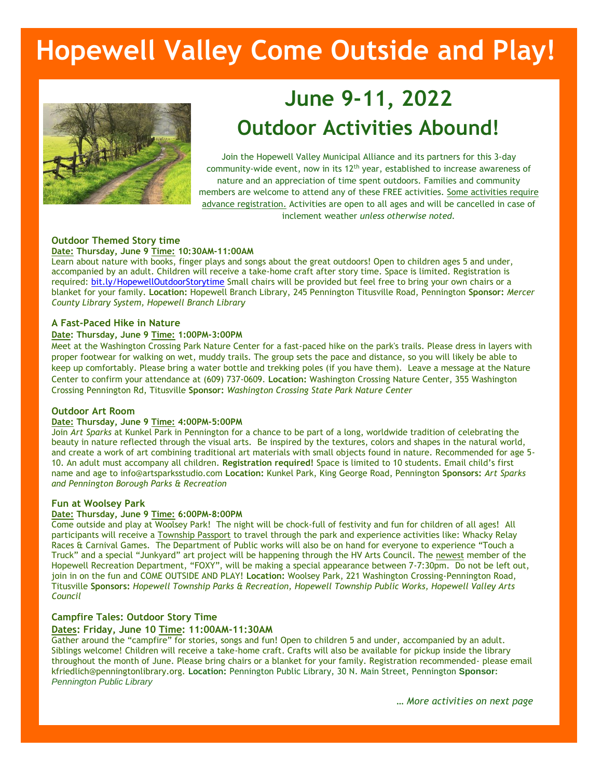# **Hopewell Valley Come Outside and Play!**



## **June 9-11, 2022 Outdoor Activities Abound!**

Join the Hopewell Valley Municipal Alliance and its partners for this 3-day community-wide event, now in its 12<sup>th</sup> year, established to increase awareness of nature and an appreciation of time spent outdoors. Families and community members are welcome to attend any of these FREE activities. Some activities require advance registration. Activities are open to all ages and will be cancelled in case of inclement weather *unless otherwise noted.*

#### **Outdoor Themed Story time Date: Thursday, June 9 Time: 10:30AM-11:00AM**

Learn about nature with books, finger plays and songs about the great outdoors! Open to children ages 5 and under, accompanied by an adult. Children will receive a take-home craft after story time. Space is limited. Registration is required[: bit.ly/HopewellOutdoorStorytime](https://bit.ly/HopewellOutdoorStorytime) Small chairs will be provided but feel free to bring your own chairs or a blanket for your family. **Location:** Hopewell Branch Library, 245 Pennington Titusville Road, Pennington **Sponsor:** *Mercer County Library System, Hopewell Branch Library*

#### **A Fast-Paced Hike in Nature**

#### **Date: Thursday, June 9 Time: 1:00PM-3:00PM**

Meet at the Washington Crossing Park Nature Center for a fast-paced hike on the park's trails. Please dress in layers with proper footwear for walking on wet, muddy trails. The group sets the pace and distance, so you will likely be able to keep up comfortably. Please bring a water bottle and trekking poles (if you have them). Leave a message at the Nature Center to confirm your attendance at (609) 737-0609. **Location:** Washington Crossing Nature Center, 355 Washington Crossing Pennington Rd, Titusville **Sponsor:** *Washington Crossing State Park Nature Center*

#### **Outdoor Art Room**

#### **Date: Thursday, June 9 Time: 4:00PM-5:00PM**

Join *Art Sparks* at Kunkel Park in Pennington for a chance to be part of a long, worldwide tradition of celebrating the beauty in nature reflected through the visual arts. Be inspired by the textures, colors and shapes in the natural world, and create a work of art combining traditional art materials with small objects found in nature. Recommended for age 5- 10. An adult must accompany all children. **Registration required!** Space is limited to 10 students. Email child's first name and age to info@artsparksstudio.com **Location:** Kunkel Park, King George Road, Pennington **Sponsors:** *Art Sparks and Pennington Borough Parks & Recreation* 

#### **Fun at Woolsey Park**

#### **Date: Thursday, June 9 Time: 6:00PM-8:00PM**

Come outside and play at Woolsey Park! The night will be chock-full of festivity and fun for children of all ages! All participants will receive a Township Passport to travel through the park and experience activities like: Whacky Relay Races & Carnival Games. The Department of Public works will also be on hand for everyone to experience "Touch a Truck" and a special "Junkyard" art project will be happening through the HV Arts Council. The newest member of the Hopewell Recreation Department, "FOXY", will be making a special appearance between 7-7:30pm. Do not be left out, join in on the fun and COME OUTSIDE AND PLAY! **Location:** Woolsey Park, 221 Washington Crossing-Pennington Road, Titusville **Sponsors:** *Hopewell Township Parks & Recreation, Hopewell Township Public Works, Hopewell Valley Arts Council*

#### **Campfire Tales: Outdoor Story Time**

#### **Dates: Friday, June 10 Time: 11:00AM-11:30AM**

Gather around the "campfire" for stories, songs and fun! Open to children 5 and under, accompanied by an adult. Siblings welcome! Children will receive a take-home craft. Crafts will also be available for pickup inside the library throughout the month of June. Please bring chairs or a blanket for your family. Registration recommended- please email kfriedlich@penningtonlibrary.org. **Location:** Pennington Public Library, 30 N. Main Street, Pennington **Sponsor:**  *Pennington Public Library*